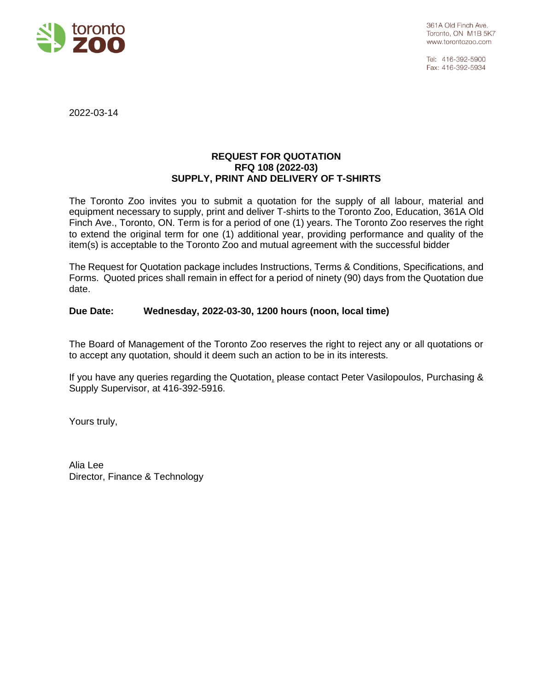

Tel: 416-392-5900 Fax: 416-392-5934

2022-03-14

### **REQUEST FOR QUOTATION RFQ 108 (2022-03) SUPPLY, PRINT AND DELIVERY OF T-SHIRTS**

The Toronto Zoo invites you to submit a quotation for the supply of all labour, material and equipment necessary to supply, print and deliver T-shirts to the Toronto Zoo, Education, 361A Old Finch Ave., Toronto, ON. Term is for a period of one (1) years. The Toronto Zoo reserves the right to extend the original term for one (1) additional year, providing performance and quality of the item(s) is acceptable to the Toronto Zoo and mutual agreement with the successful bidder

The Request for Quotation package includes Instructions, Terms & Conditions, Specifications, and Forms. Quoted prices shall remain in effect for a period of ninety (90) days from the Quotation due date.

### **Due Date: Wednesday, 2022-03-30, 1200 hours (noon, local time)**

The Board of Management of the Toronto Zoo reserves the right to reject any or all quotations or to accept any quotation, should it deem such an action to be in its interests.

If you have any queries regarding the Quotation, please contact Peter Vasilopoulos, Purchasing & Supply Supervisor, at 416-392-5916.

Yours truly,

Alia Lee Director, Finance & Technology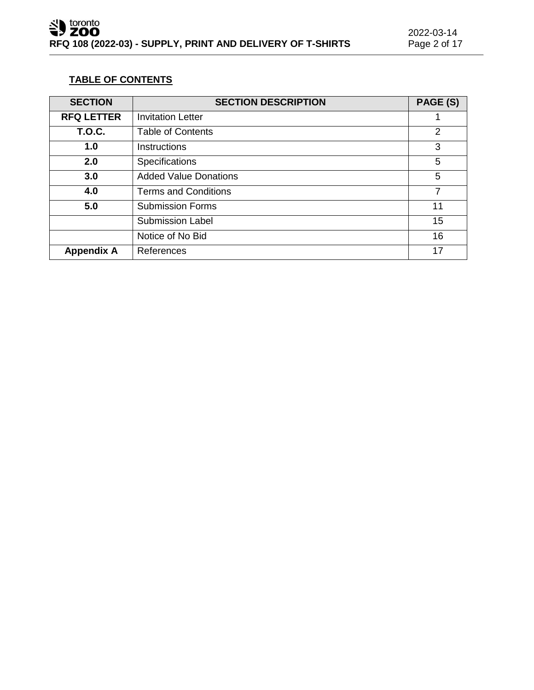### **TABLE OF CONTENTS**

| <b>SECTION</b>    | <b>SECTION DESCRIPTION</b>   | PAGE (S)       |
|-------------------|------------------------------|----------------|
| <b>RFQ LETTER</b> | <b>Invitation Letter</b>     |                |
| <b>T.O.C.</b>     | <b>Table of Contents</b>     | $\overline{2}$ |
| 1.0               | <b>Instructions</b>          | 3              |
| 2.0               | Specifications               | 5              |
| 3.0               | <b>Added Value Donations</b> | 5              |
| 4.0               | <b>Terms and Conditions</b>  | 7              |
| 5.0               | <b>Submission Forms</b>      | 11             |
|                   | <b>Submission Label</b>      | 15             |
|                   | Notice of No Bid             | 16             |
| <b>Appendix A</b> | References                   | 17             |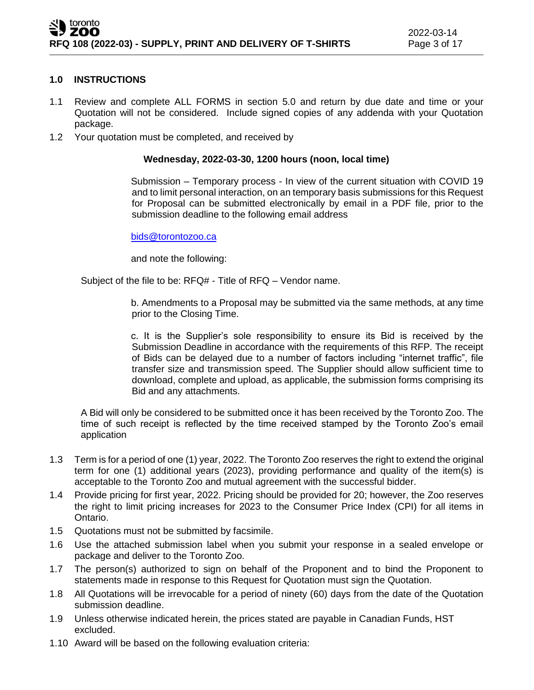### **1.0 INSTRUCTIONS**

- 1.1 Review and complete ALL FORMS in section 5.0 and return by due date and time or your Quotation will not be considered. Include signed copies of any addenda with your Quotation package.
- 1.2 Your quotation must be completed, and received by

### **Wednesday, 2022-03-30, 1200 hours (noon, local time)**

Submission – Temporary process - In view of the current situation with COVID 19 and to limit personal interaction, on an temporary basis submissions for this Request for Proposal can be submitted electronically by email in a PDF file, prior to the submission deadline to the following email address

### [bids@torontozoo.ca](mailto:bids@torontozoo.ca)

and note the following:

Subject of the file to be: RFQ# - Title of RFQ – Vendor name.

b. Amendments to a Proposal may be submitted via the same methods, at any time prior to the Closing Time.

c. It is the Supplier's sole responsibility to ensure its Bid is received by the Submission Deadline in accordance with the requirements of this RFP. The receipt of Bids can be delayed due to a number of factors including "internet traffic", file transfer size and transmission speed. The Supplier should allow sufficient time to download, complete and upload, as applicable, the submission forms comprising its Bid and any attachments.

A Bid will only be considered to be submitted once it has been received by the Toronto Zoo. The time of such receipt is reflected by the time received stamped by the Toronto Zoo's email application

- 1.3 Term is for a period of one (1) year, 2022. The Toronto Zoo reserves the right to extend the original term for one (1) additional years (2023), providing performance and quality of the item(s) is acceptable to the Toronto Zoo and mutual agreement with the successful bidder.
- 1.4 Provide pricing for first year, 2022. Pricing should be provided for 20; however, the Zoo reserves the right to limit pricing increases for 2023 to the Consumer Price Index (CPI) for all items in Ontario.
- 1.5 Quotations must not be submitted by facsimile.
- 1.6 Use the attached submission label when you submit your response in a sealed envelope or package and deliver to the Toronto Zoo.
- 1.7 The person(s) authorized to sign on behalf of the Proponent and to bind the Proponent to statements made in response to this Request for Quotation must sign the Quotation.
- 1.8 All Quotations will be irrevocable for a period of ninety (60) days from the date of the Quotation submission deadline.
- 1.9 Unless otherwise indicated herein, the prices stated are payable in Canadian Funds, HST excluded.
- 1.10 Award will be based on the following evaluation criteria: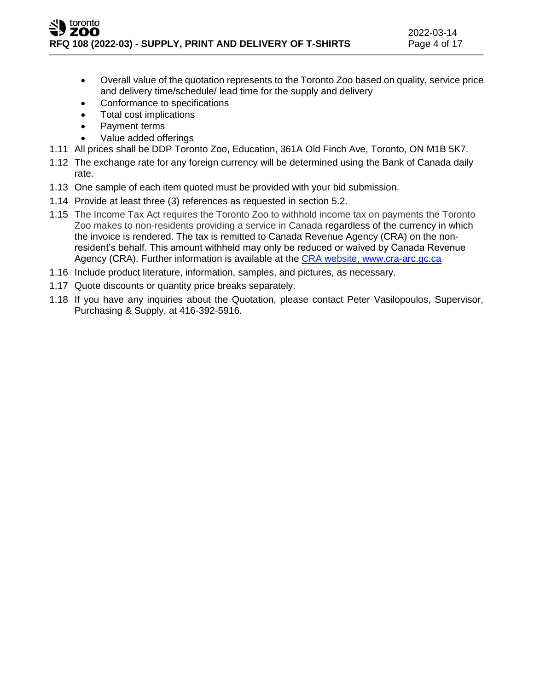- Overall value of the quotation represents to the Toronto Zoo based on quality, service price and delivery time/schedule/ lead time for the supply and delivery
- Conformance to specifications
- Total cost implications
- Payment terms
- Value added offerings
- 1.11 All prices shall be DDP Toronto Zoo, Education, 361A Old Finch Ave, Toronto, ON M1B 5K7.
- 1.12 The exchange rate for any foreign currency will be determined using the Bank of Canada daily rate.
- 1.13 One sample of each item quoted must be provided with your bid submission.
- 1.14 Provide at least three (3) references as requested in section 5.2.
- 1.15 The Income Tax Act requires the Toronto Zoo to withhold income tax on payments the Toronto Zoo makes to non-residents providing a service in Canada regardless of the currency in which the invoice is rendered. The tax is remitted to Canada Revenue Agency (CRA) on the nonresident's behalf. This amount withheld may only be reduced or waived by Canada Revenue Agency (CRA). Further information is available at the CRA website, [www.cra-arc.gc.ca](http://www.cra-arc.gc.ca/)
- 1.16 Include product literature, information, samples, and pictures, as necessary.
- 1.17 Quote discounts or quantity price breaks separately.
- 1.18 If you have any inquiries about the Quotation, please contact Peter Vasilopoulos, Supervisor, Purchasing & Supply, at 416-392-5916.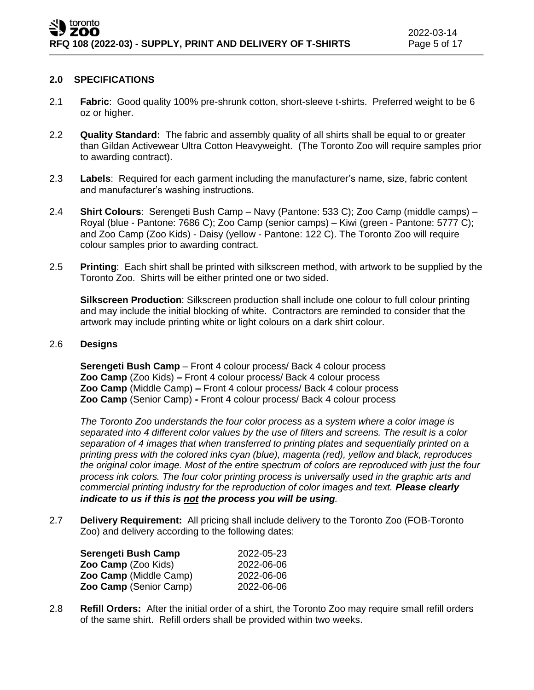### **2.0 SPECIFICATIONS**

- 2.1 **Fabric**: Good quality 100% pre-shrunk cotton, short-sleeve t-shirts. Preferred weight to be 6 oz or higher.
- 2.2 **Quality Standard:** The fabric and assembly quality of all shirts shall be equal to or greater than Gildan Activewear Ultra Cotton Heavyweight. (The Toronto Zoo will require samples prior to awarding contract).
- 2.3 **Labels**: Required for each garment including the manufacturer's name, size, fabric content and manufacturer's washing instructions.
- 2.4 **Shirt Colours**: Serengeti Bush Camp Navy (Pantone: 533 C); Zoo Camp (middle camps) Royal (blue - Pantone: 7686 C); Zoo Camp (senior camps) – Kiwi (green - Pantone: 5777 C); and Zoo Camp (Zoo Kids) - Daisy (yellow - Pantone: 122 C). The Toronto Zoo will require colour samples prior to awarding contract.
- 2.5 **Printing**:Each shirt shall be printed with silkscreen method, with artwork to be supplied by the Toronto Zoo. Shirts will be either printed one or two sided.

**Silkscreen Production**: Silkscreen production shall include one colour to full colour printing and may include the initial blocking of white. Contractors are reminded to consider that the artwork may include printing white or light colours on a dark shirt colour.

### 2.6 **Designs**

**Serengeti Bush Camp** – Front 4 colour process/ Back 4 colour process **Zoo Camp** (Zoo Kids) **–** Front 4 colour process/ Back 4 colour process **Zoo Camp** (Middle Camp) **–** Front 4 colour process/ Back 4 colour process **Zoo Camp** (Senior Camp) **-** Front 4 colour process/ Back 4 colour process

*The Toronto Zoo understands the four color process as a system where a color image is separated into 4 different color values by the use of filters and screens. The result is a color separation of 4 images that when transferred to printing plates and sequentially printed on a printing press with the colored inks cyan (blue), magenta (red), yellow and black, reproduces the original color image. Most of the entire spectrum of colors are reproduced with just the four process ink colors. The four color printing process is universally used in the graphic arts and commercial printing industry for the reproduction of color images and text. Please clearly indicate to us if this is not the process you will be using.*

2.7 **Delivery Requirement:** All pricing shall include delivery to the Toronto Zoo (FOB-Toronto Zoo) and delivery according to the following dates:

| Serengeti Bush Camp    | 2022-05-23 |
|------------------------|------------|
| Zoo Camp (Zoo Kids)    | 2022-06-06 |
| Zoo Camp (Middle Camp) | 2022-06-06 |
| Zoo Camp (Senior Camp) | 2022-06-06 |

2.8 **Refill Orders:** After the initial order of a shirt, the Toronto Zoo may require small refill orders of the same shirt. Refill orders shall be provided within two weeks.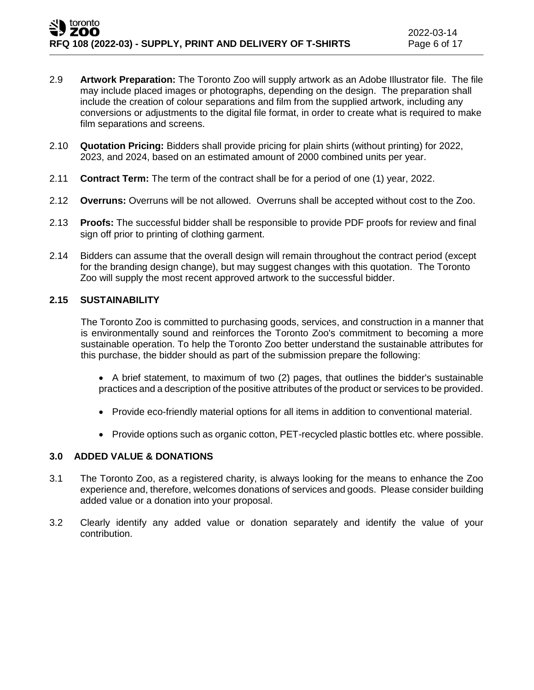- 2.9 **Artwork Preparation:** The Toronto Zoo will supply artwork as an Adobe Illustrator file. The file may include placed images or photographs, depending on the design. The preparation shall include the creation of colour separations and film from the supplied artwork, including any conversions or adjustments to the digital file format, in order to create what is required to make film separations and screens.
- 2.10 **Quotation Pricing:** Bidders shall provide pricing for plain shirts (without printing) for 2022, 2023, and 2024, based on an estimated amount of 2000 combined units per year.
- 2.11 **Contract Term:** The term of the contract shall be for a period of one (1) year, 2022.
- 2.12 **Overruns:** Overruns will be not allowed. Overruns shall be accepted without cost to the Zoo.
- 2.13 **Proofs:** The successful bidder shall be responsible to provide PDF proofs for review and final sign off prior to printing of clothing garment.
- 2.14 Bidders can assume that the overall design will remain throughout the contract period (except for the branding design change), but may suggest changes with this quotation. The Toronto Zoo will supply the most recent approved artwork to the successful bidder.

### **2.15 SUSTAINABILITY**

The Toronto Zoo is committed to purchasing goods, services, and construction in a manner that is environmentally sound and reinforces the Toronto Zoo's commitment to becoming a more sustainable operation. To help the Toronto Zoo better understand the sustainable attributes for this purchase, the bidder should as part of the submission prepare the following:

- A brief statement, to maximum of two (2) pages, that outlines the bidder's sustainable practices and a description of the positive attributes of the product or services to be provided.
- Provide eco-friendly material options for all items in addition to conventional material.
- Provide options such as organic cotton, PET-recycled plastic bottles etc. where possible.

### **3.0 ADDED VALUE & DONATIONS**

- 3.1 The Toronto Zoo, as a registered charity, is always looking for the means to enhance the Zoo experience and, therefore, welcomes donations of services and goods. Please consider building added value or a donation into your proposal.
- 3.2 Clearly identify any added value or donation separately and identify the value of your contribution.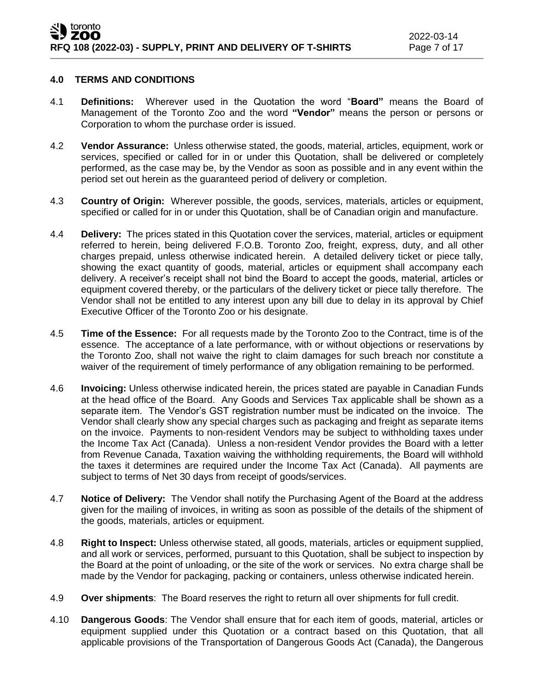### **4.0 TERMS AND CONDITIONS**

- 4.1 **Definitions:** Wherever used in the Quotation the word "**Board"** means the Board of Management of the Toronto Zoo and the word **"Vendor"** means the person or persons or Corporation to whom the purchase order is issued.
- 4.2 **Vendor Assurance:** Unless otherwise stated, the goods, material, articles, equipment, work or services, specified or called for in or under this Quotation, shall be delivered or completely performed, as the case may be, by the Vendor as soon as possible and in any event within the period set out herein as the guaranteed period of delivery or completion.
- 4.3 **Country of Origin:** Wherever possible, the goods, services, materials, articles or equipment, specified or called for in or under this Quotation, shall be of Canadian origin and manufacture.
- 4.4 **Delivery:** The prices stated in this Quotation cover the services, material, articles or equipment referred to herein, being delivered F.O.B. Toronto Zoo, freight, express, duty, and all other charges prepaid, unless otherwise indicated herein. A detailed delivery ticket or piece tally, showing the exact quantity of goods, material, articles or equipment shall accompany each delivery. A receiver's receipt shall not bind the Board to accept the goods, material, articles or equipment covered thereby, or the particulars of the delivery ticket or piece tally therefore. The Vendor shall not be entitled to any interest upon any bill due to delay in its approval by Chief Executive Officer of the Toronto Zoo or his designate.
- 4.5 **Time of the Essence:** For all requests made by the Toronto Zoo to the Contract, time is of the essence. The acceptance of a late performance, with or without objections or reservations by the Toronto Zoo, shall not waive the right to claim damages for such breach nor constitute a waiver of the requirement of timely performance of any obligation remaining to be performed.
- 4.6 **Invoicing:** Unless otherwise indicated herein, the prices stated are payable in Canadian Funds at the head office of the Board. Any Goods and Services Tax applicable shall be shown as a separate item. The Vendor's GST registration number must be indicated on the invoice. The Vendor shall clearly show any special charges such as packaging and freight as separate items on the invoice. Payments to non-resident Vendors may be subject to withholding taxes under the Income Tax Act (Canada). Unless a non-resident Vendor provides the Board with a letter from Revenue Canada, Taxation waiving the withholding requirements, the Board will withhold the taxes it determines are required under the Income Tax Act (Canada). All payments are subject to terms of Net 30 days from receipt of goods/services.
- 4.7 **Notice of Delivery:** The Vendor shall notify the Purchasing Agent of the Board at the address given for the mailing of invoices, in writing as soon as possible of the details of the shipment of the goods, materials, articles or equipment.
- 4.8 **Right to Inspect:** Unless otherwise stated, all goods, materials, articles or equipment supplied, and all work or services, performed, pursuant to this Quotation, shall be subject to inspection by the Board at the point of unloading, or the site of the work or services. No extra charge shall be made by the Vendor for packaging, packing or containers, unless otherwise indicated herein.
- 4.9 **Over shipments**: The Board reserves the right to return all over shipments for full credit.
- 4.10 **Dangerous Goods**: The Vendor shall ensure that for each item of goods, material, articles or equipment supplied under this Quotation or a contract based on this Quotation, that all applicable provisions of the Transportation of Dangerous Goods Act (Canada), the Dangerous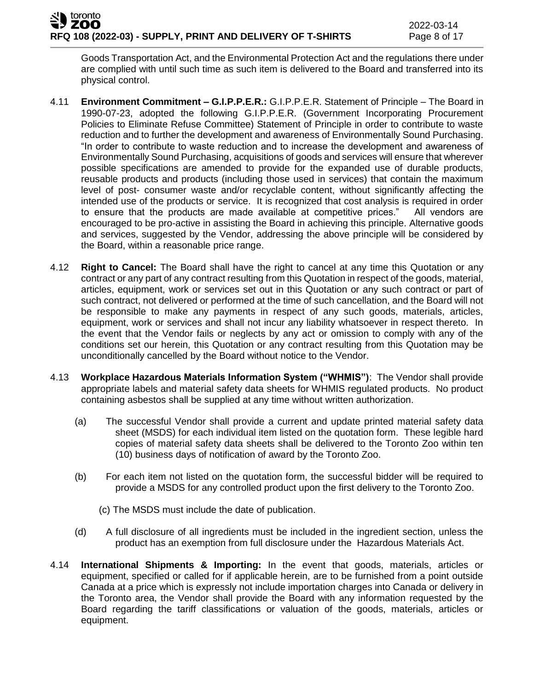Goods Transportation Act, and the Environmental Protection Act and the regulations there under are complied with until such time as such item is delivered to the Board and transferred into its physical control.

- 4.11 **Environment Commitment – G.I.P.P.E.R.:** G.I.P.P.E.R. Statement of Principle The Board in 1990-07-23, adopted the following G.I.P.P.E.R. (Government Incorporating Procurement Policies to Eliminate Refuse Committee) Statement of Principle in order to contribute to waste reduction and to further the development and awareness of Environmentally Sound Purchasing. "In order to contribute to waste reduction and to increase the development and awareness of Environmentally Sound Purchasing, acquisitions of goods and services will ensure that wherever possible specifications are amended to provide for the expanded use of durable products, reusable products and products (including those used in services) that contain the maximum level of post- consumer waste and/or recyclable content, without significantly affecting the intended use of the products or service. It is recognized that cost analysis is required in order to ensure that the products are made available at competitive prices." All vendors are encouraged to be pro-active in assisting the Board in achieving this principle. Alternative goods and services, suggested by the Vendor, addressing the above principle will be considered by the Board, within a reasonable price range.
- 4.12 **Right to Cancel:** The Board shall have the right to cancel at any time this Quotation or any contract or any part of any contract resulting from this Quotation in respect of the goods, material, articles, equipment, work or services set out in this Quotation or any such contract or part of such contract, not delivered or performed at the time of such cancellation, and the Board will not be responsible to make any payments in respect of any such goods, materials, articles, equipment, work or services and shall not incur any liability whatsoever in respect thereto. In the event that the Vendor fails or neglects by any act or omission to comply with any of the conditions set our herein, this Quotation or any contract resulting from this Quotation may be unconditionally cancelled by the Board without notice to the Vendor.
- 4.13 **Workplace Hazardous Materials Information System ("WHMIS")**: The Vendor shall provide appropriate labels and material safety data sheets for WHMIS regulated products. No product containing asbestos shall be supplied at any time without written authorization.
	- (a) The successful Vendor shall provide a current and update printed material safety data sheet (MSDS) for each individual item listed on the quotation form. These legible hard copies of material safety data sheets shall be delivered to the Toronto Zoo within ten (10) business days of notification of award by the Toronto Zoo.
	- (b) For each item not listed on the quotation form, the successful bidder will be required to provide a MSDS for any controlled product upon the first delivery to the Toronto Zoo.
		- (c) The MSDS must include the date of publication.
	- (d) A full disclosure of all ingredients must be included in the ingredient section, unless the product has an exemption from full disclosure under the Hazardous Materials Act.
- 4.14 **International Shipments & Importing:** In the event that goods, materials, articles or equipment, specified or called for if applicable herein, are to be furnished from a point outside Canada at a price which is expressly not include importation charges into Canada or delivery in the Toronto area, the Vendor shall provide the Board with any information requested by the Board regarding the tariff classifications or valuation of the goods, materials, articles or equipment.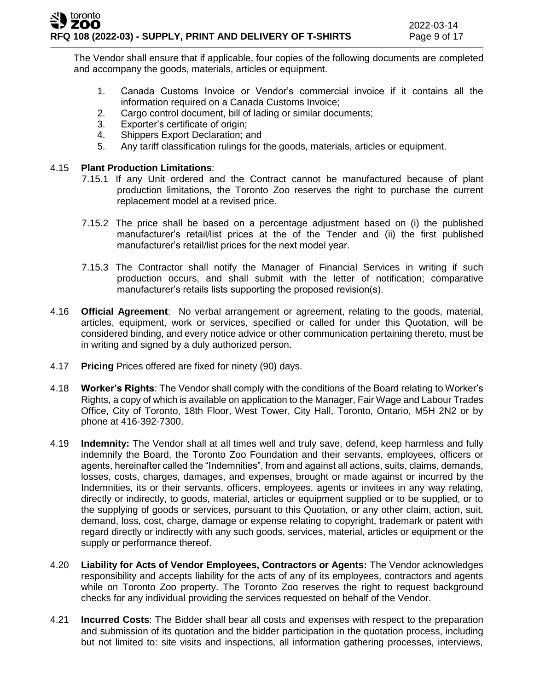The Vendor shall ensure that if applicable, four copies of the following documents are completed and accompany the goods, materials, articles or equipment.

- 1. Canada Customs Invoice or Vendor's commercial invoice if it contains all the information required on a Canada Customs Invoice;
- 2. Cargo control document, bill of lading or similar documents;
- 3. Exporter's certificate of origin;
- 4. Shippers Export Declaration; and
- 5. Any tariff classification rulings for the goods, materials, articles or equipment.

### 4.15 **Plant Production Limitations**:

- 7.15.1 If any Unit ordered and the Contract cannot be manufactured because of plant production limitations, the Toronto Zoo reserves the right to purchase the current replacement model at a revised price.
- 7.15.2 The price shall be based on a percentage adjustment based on (i) the published manufacturer's retail/list prices at the of the Tender and (ii) the first published manufacturer's retail/list prices for the next model year.
- 7.15.3 The Contractor shall notify the Manager of Financial Services in writing if such production occurs, and shall submit with the letter of notification; comparative manufacturer's retails lists supporting the proposed revision(s).
- 4.16 **Official Agreement**: No verbal arrangement or agreement, relating to the goods, material, articles, equipment, work or services, specified or called for under this Quotation, will be considered binding, and every notice advice or other communication pertaining thereto, must be in writing and signed by a duly authorized person.
- 4.17 **Pricing** Prices offered are fixed for ninety (90) days.
- 4.18 **Worker's Rights**: The Vendor shall comply with the conditions of the Board relating to Worker's Rights, a copy of which is available on application to the Manager, Fair Wage and Labour Trades Office, City of Toronto, 18th Floor, West Tower, City Hall, Toronto, Ontario, M5H 2N2 or by phone at 416-392-7300.
- 4.19 **Indemnity:** The Vendor shall at all times well and truly save, defend, keep harmless and fully indemnify the Board, the Toronto Zoo Foundation and their servants, employees, officers or agents, hereinafter called the "Indemnities", from and against all actions, suits, claims, demands, losses, costs, charges, damages, and expenses, brought or made against or incurred by the Indemnities, its or their servants, officers, employees, agents or invitees in any way relating, directly or indirectly, to goods, material, articles or equipment supplied or to be supplied, or to the supplying of goods or services, pursuant to this Quotation, or any other claim, action, suit, demand, loss, cost, charge, damage or expense relating to copyright, trademark or patent with regard directly or indirectly with any such goods, services, material, articles or equipment or the supply or performance thereof.
- 4.20 **Liability for Acts of Vendor Employees, Contractors or Agents:** The Vendor acknowledges responsibility and accepts liability for the acts of any of its employees, contractors and agents while on Toronto Zoo property. The Toronto Zoo reserves the right to request background checks for any individual providing the services requested on behalf of the Vendor.
- 4.21 **Incurred Costs**: The Bidder shall bear all costs and expenses with respect to the preparation and submission of its quotation and the bidder participation in the quotation process, including but not limited to: site visits and inspections, all information gathering processes, interviews,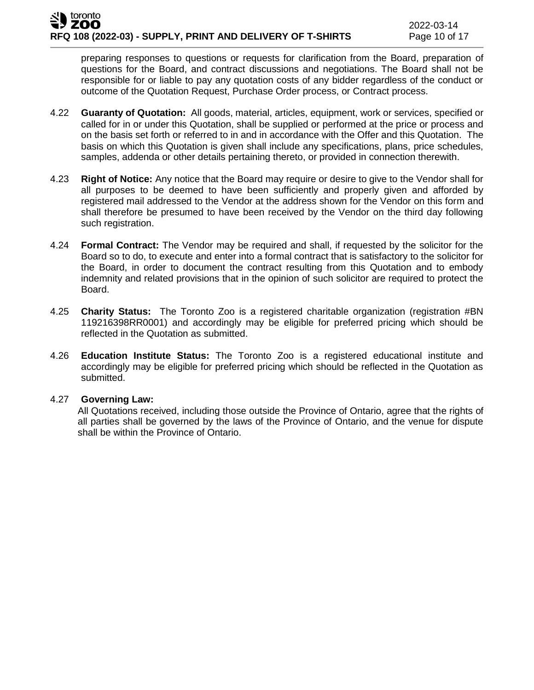preparing responses to questions or requests for clarification from the Board, preparation of questions for the Board, and contract discussions and negotiations. The Board shall not be responsible for or liable to pay any quotation costs of any bidder regardless of the conduct or outcome of the Quotation Request, Purchase Order process, or Contract process.

- 4.22 **Guaranty of Quotation:** All goods, material, articles, equipment, work or services, specified or called for in or under this Quotation, shall be supplied or performed at the price or process and on the basis set forth or referred to in and in accordance with the Offer and this Quotation. The basis on which this Quotation is given shall include any specifications, plans, price schedules, samples, addenda or other details pertaining thereto, or provided in connection therewith.
- 4.23 **Right of Notice:** Any notice that the Board may require or desire to give to the Vendor shall for all purposes to be deemed to have been sufficiently and properly given and afforded by registered mail addressed to the Vendor at the address shown for the Vendor on this form and shall therefore be presumed to have been received by the Vendor on the third day following such registration.
- 4.24 **Formal Contract:** The Vendor may be required and shall, if requested by the solicitor for the Board so to do, to execute and enter into a formal contract that is satisfactory to the solicitor for the Board, in order to document the contract resulting from this Quotation and to embody indemnity and related provisions that in the opinion of such solicitor are required to protect the Board.
- 4.25 **Charity Status:** The Toronto Zoo is a registered charitable organization (registration #BN 119216398RR0001) and accordingly may be eligible for preferred pricing which should be reflected in the Quotation as submitted.
- 4.26 **Education Institute Status:** The Toronto Zoo is a registered educational institute and accordingly may be eligible for preferred pricing which should be reflected in the Quotation as submitted.

### 4.27 **Governing Law:**

All Quotations received, including those outside the Province of Ontario, agree that the rights of all parties shall be governed by the laws of the Province of Ontario, and the venue for dispute shall be within the Province of Ontario.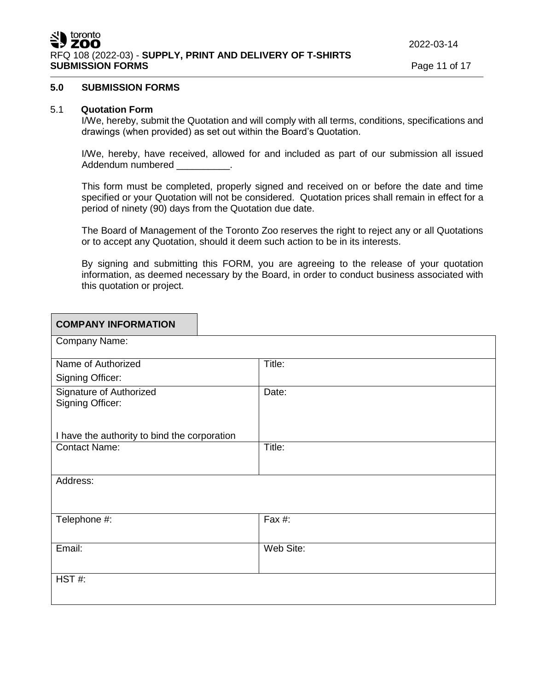### **5.0 SUBMISSION FORMS**

### 5.1 **Quotation Form**

I/We, hereby, submit the Quotation and will comply with all terms, conditions, specifications and drawings (when provided) as set out within the Board's Quotation.

I/We, hereby, have received, allowed for and included as part of our submission all issued Addendum numbered and the control of the control of the control of the control of the control of the control o

This form must be completed, properly signed and received on or before the date and time specified or your Quotation will not be considered. Quotation prices shall remain in effect for a period of ninety (90) days from the Quotation due date.

The Board of Management of the Toronto Zoo reserves the right to reject any or all Quotations or to accept any Quotation, should it deem such action to be in its interests.

By signing and submitting this FORM, you are agreeing to the release of your quotation information, as deemed necessary by the Board, in order to conduct business associated with this quotation or project.

| <b>COMPANY INFORMATION</b>                   |           |
|----------------------------------------------|-----------|
| Company Name:                                |           |
| Name of Authorized                           | Title:    |
| Signing Officer:                             |           |
| Signature of Authorized<br>Signing Officer:  | Date:     |
| I have the authority to bind the corporation |           |
| <b>Contact Name:</b>                         | Title:    |
| Address:                                     |           |
| Telephone #:                                 | Fax #:    |
| Email:                                       | Web Site: |
| HST#:                                        |           |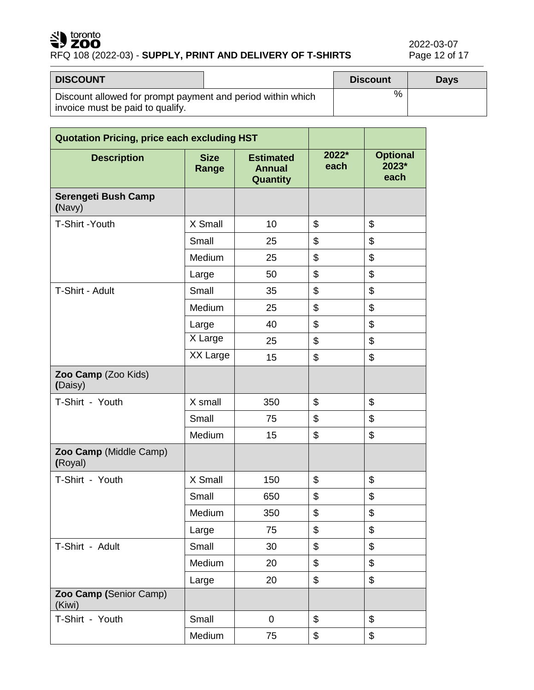# SU toronto

# RFQ 108 (2022-03) - **SUPPLY, PRINT AND DELIVERY OF T-SHIRTS**

2022-03-07<br>Page 12 of 17

| <b>DISCOUNT</b>                                                                                 | <b>Discount</b> | <b>Davs</b> |
|-------------------------------------------------------------------------------------------------|-----------------|-------------|
| Discount allowed for prompt payment and period within which<br>invoice must be paid to qualify. | ℅               |             |

| <b>Quotation Pricing, price each excluding HST</b> |                      |                                               |               |                                  |
|----------------------------------------------------|----------------------|-----------------------------------------------|---------------|----------------------------------|
| <b>Description</b>                                 | <b>Size</b><br>Range | <b>Estimated</b><br><b>Annual</b><br>Quantity | 2022*<br>each | <b>Optional</b><br>2023*<br>each |
| Serengeti Bush Camp<br>(Navy)                      |                      |                                               |               |                                  |
| T-Shirt - Youth                                    | X Small              | 10                                            | \$            | \$                               |
|                                                    | Small                | 25                                            | \$            | \$                               |
|                                                    | Medium               | 25                                            | \$            | \$                               |
|                                                    | Large                | 50                                            | \$            | \$                               |
| T-Shirt - Adult                                    | Small                | 35                                            | \$            | \$                               |
|                                                    | Medium               | 25                                            | \$            | \$                               |
|                                                    | Large                | 40                                            | \$            | \$                               |
|                                                    | X Large              | 25                                            | \$            | \$                               |
|                                                    | XX Large             | 15                                            | \$            | \$                               |
| Zoo Camp (Zoo Kids)<br>(Daisy)                     |                      |                                               |               |                                  |
| T-Shirt - Youth                                    | X small              | 350                                           | \$            | \$                               |
|                                                    | Small                | 75                                            | \$            | $\mathfrak{S}$                   |
|                                                    | Medium               | 15                                            | \$            | \$                               |
| Zoo Camp (Middle Camp)<br>(Royal)                  |                      |                                               |               |                                  |
| T-Shirt - Youth                                    | X Small              | 150                                           | \$            | \$                               |
|                                                    | Small                | 650                                           | \$            | $\mathfrak{S}$                   |
|                                                    | Medium               | 350                                           | \$            | \$                               |
|                                                    | Large                | 75                                            | \$            | \$                               |
| T-Shirt - Adult                                    | Small                | 30                                            | \$            | \$                               |
|                                                    | Medium               | 20                                            | \$            | \$                               |
|                                                    | Large                | 20                                            | \$            | $\mathfrak{S}$                   |
| Zoo Camp (Senior Camp)<br>(Kiwi)                   |                      |                                               |               |                                  |
| T-Shirt - Youth                                    | Small                | $\pmb{0}$                                     | \$            | \$                               |
|                                                    | Medium               | 75                                            | \$            | \$                               |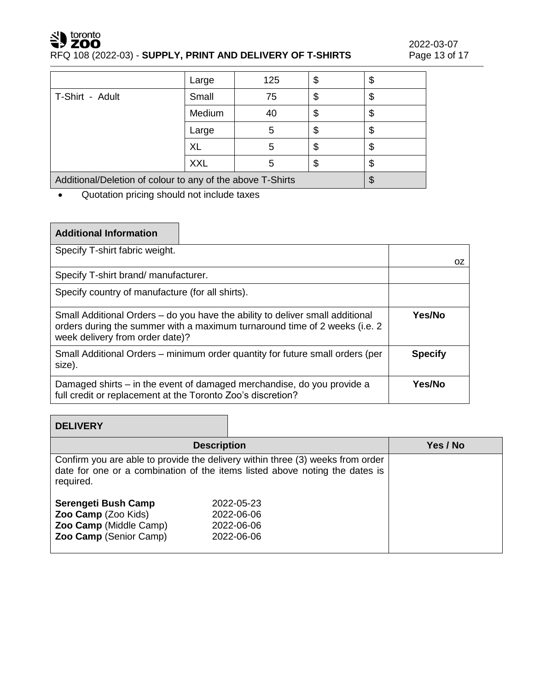# SU toronto

# RFQ 108 (2022-03) - **SUPPLY, PRINT AND DELIVERY OF T-SHIRTS**

|                                                            | Large      | 125 | \$ | \$ |
|------------------------------------------------------------|------------|-----|----|----|
| T-Shirt - Adult                                            | Small      | 75  | \$ | \$ |
|                                                            | Medium     | 40  | \$ | \$ |
|                                                            | Large      | 5   | \$ | \$ |
|                                                            | XL         | 5   | \$ | \$ |
|                                                            | <b>XXL</b> | 5   | S  | \$ |
| Additional/Deletion of colour to any of the above T-Shirts |            |     |    |    |

• Quotation pricing should not include taxes

# **Additional Information**

| Specify T-shirt fabric weight.                                                                                                                                                                 |                |    |
|------------------------------------------------------------------------------------------------------------------------------------------------------------------------------------------------|----------------|----|
|                                                                                                                                                                                                |                | 0Z |
| Specify T-shirt brand/manufacturer.                                                                                                                                                            |                |    |
| Specify country of manufacture (for all shirts).                                                                                                                                               |                |    |
| Small Additional Orders – do you have the ability to deliver small additional<br>orders during the summer with a maximum turnaround time of 2 weeks (i.e. 2<br>week delivery from order date)? | Yes/No         |    |
| Small Additional Orders - minimum order quantity for future small orders (per<br>size).                                                                                                        | <b>Specify</b> |    |
| Damaged shirts – in the event of damaged merchandise, do you provide a<br>full credit or replacement at the Toronto Zoo's discretion?                                                          | Yes/No         |    |

| <b>DELIVERY</b>        |                                                                                                                                                               |          |
|------------------------|---------------------------------------------------------------------------------------------------------------------------------------------------------------|----------|
|                        | <b>Description</b>                                                                                                                                            | Yes / No |
| required.              | Confirm you are able to provide the delivery within three (3) weeks from order<br>date for one or a combination of the items listed above noting the dates is |          |
| Serengeti Bush Camp    | 2022-05-23                                                                                                                                                    |          |
| Zoo Camp (Zoo Kids)    | 2022-06-06                                                                                                                                                    |          |
| Zoo Camp (Middle Camp) | 2022-06-06                                                                                                                                                    |          |
| Zoo Camp (Senior Camp) | 2022-06-06                                                                                                                                                    |          |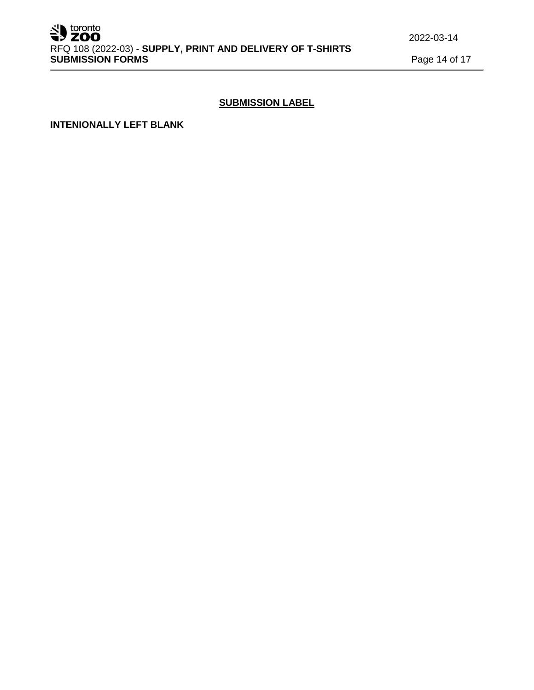### **SUBMISSION LABEL**

**INTENIONALLY LEFT BLANK**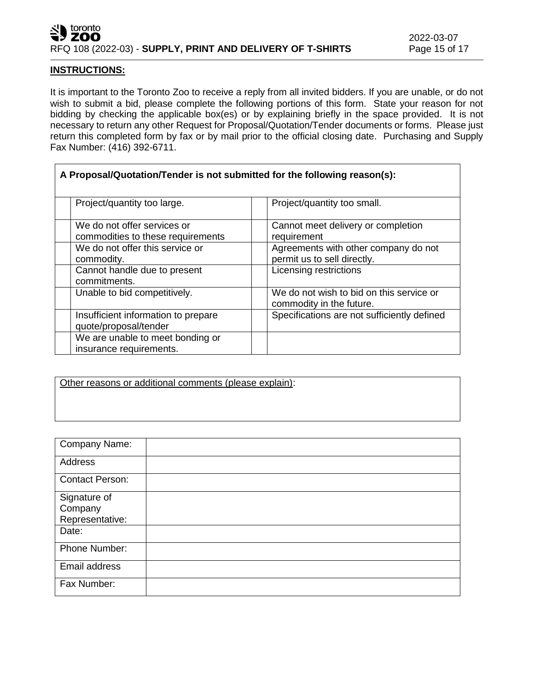### toronto J7 ZOO RFQ 108 (2022-03) - **SUPPLY, PRINT AND DELIVERY OF T-SHIRTS** Page 15 of 17

٦

### **INSTRUCTIONS:**

 $\Gamma$ 

It is important to the Toronto Zoo to receive a reply from all invited bidders. If you are unable, or do not wish to submit a bid, please complete the following portions of this form. State your reason for not bidding by checking the applicable box(es) or by explaining briefly in the space provided. It is not necessary to return any other Request for Proposal/Quotation/Tender documents or forms. Please just return this completed form by fax or by mail prior to the official closing date. Purchasing and Supply Fax Number: (416) 392-6711.

| A Proposal/Quotation/Tender is not submitted for the following reason(s): |                                                                      |
|---------------------------------------------------------------------------|----------------------------------------------------------------------|
| Project/quantity too large.                                               | Project/quantity too small.                                          |
| We do not offer services or<br>commodities to these requirements          | Cannot meet delivery or completion<br>requirement                    |
| We do not offer this service or<br>commodity.                             | Agreements with other company do not<br>permit us to sell directly.  |
| Cannot handle due to present<br>commitments.                              | <b>Licensing restrictions</b>                                        |
| Unable to bid competitively.                                              | We do not wish to bid on this service or<br>commodity in the future. |
| Insufficient information to prepare<br>quote/proposal/tender              | Specifications are not sufficiently defined                          |
| We are unable to meet bonding or<br>insurance requirements.               |                                                                      |

Other reasons or additional comments (please explain):

| Company Name:                              |  |
|--------------------------------------------|--|
| Address                                    |  |
| <b>Contact Person:</b>                     |  |
| Signature of<br>Company<br>Representative: |  |
| Date:                                      |  |
| Phone Number:                              |  |
| Email address                              |  |
| Fax Number:                                |  |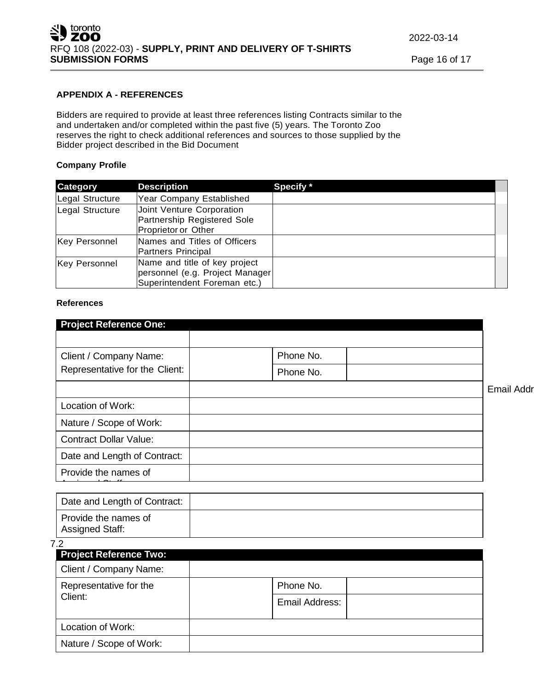### **APPENDIX A - REFERENCES**

Bidders are required to provide at least three references listing Contracts similar to the and undertaken and/or completed within the past five (5) years. The Toronto Zoo reserves the right to check additional references and sources to those supplied by the Bidder project described in the Bid Document

### **Company Profile**

| <b>Category</b>      | <b>Description</b>                                                                               | Specify * |
|----------------------|--------------------------------------------------------------------------------------------------|-----------|
| Legal Structure      | Year Company Established                                                                         |           |
| Legal Structure      | Joint Venture Corporation<br>Partnership Registered Sole<br>Proprietor or Other                  |           |
| <b>Key Personnel</b> | Names and Titles of Officers<br>Partners Principal                                               |           |
| <b>Key Personnel</b> | Name and title of key project<br>personnel (e.g. Project Manager<br>Superintendent Foreman etc.) |           |

#### **References**

| <b>Project Reference One:</b>  |           |                   |
|--------------------------------|-----------|-------------------|
|                                |           |                   |
| Client / Company Name:         | Phone No. |                   |
| Representative for the Client: | Phone No. |                   |
|                                |           | <b>Email Addı</b> |
| Location of Work:              |           |                   |
| Nature / Scope of Work:        |           |                   |
| <b>Contract Dollar Value:</b>  |           |                   |
| Date and Length of Contract:   |           |                   |
| Provide the names of           |           |                   |
|                                |           |                   |

| Date and Length of Contract:                   |  |
|------------------------------------------------|--|
| Provide the names of<br><b>Assigned Staff:</b> |  |

#### 7.2

| <b>Project Reference Two:</b>     |                |
|-----------------------------------|----------------|
| Client / Company Name:            |                |
| Representative for the<br>Client: | Phone No.      |
|                                   | Email Address: |
| Location of Work:                 |                |
| Nature / Scope of Work:           |                |